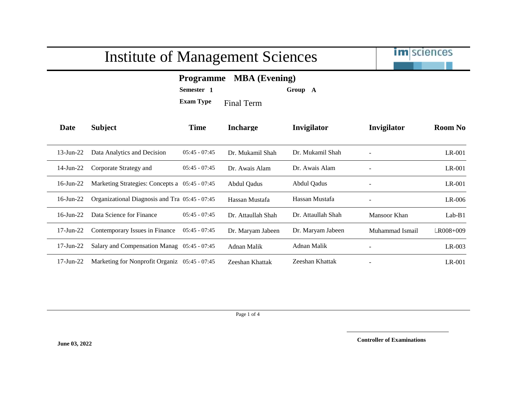

## **Programme MBA (Evening)**

**Semester 1 Group A**

**Exam Type** Final Term

| Date            | <b>Subject</b>                                 | <b>Time</b>     | <b>Incharge</b>    | Invigilator        | Invigilator              | <b>Room No</b> |
|-----------------|------------------------------------------------|-----------------|--------------------|--------------------|--------------------------|----------------|
| $13$ -Jun-22    | Data Analytics and Decision                    | $05:45 - 07:45$ | Dr. Mukamil Shah   | Dr. Mukamil Shah   | ۰                        | $LR-001$       |
| $14$ -Jun-22    | Corporate Strategy and                         | $05:45 - 07:45$ | Dr. Awais Alam     | Dr. Awais Alam     |                          | LR-001         |
| $16$ -Jun-22    | Marketing Strategies: Concepts a 05:45 - 07:45 |                 | Abdul Oadus        | Abdul Qadus        |                          | $LR-001$       |
| $16$ -Jun-22    | Organizational Diagnosis and Tra 05:45 - 07:45 |                 | Hassan Mustafa     | Hassan Mustafa     |                          | $LR-006$       |
| $16$ -Jun-22    | Data Science for Finance                       | $05:45 - 07:45$ | Dr. Attaullah Shah | Dr. Attaullah Shah | Mansoor Khan             | $Lab-B1$       |
| $17$ -Jun-22    | Contemporary Issues in Finance                 | $05:45 - 07:45$ | Dr. Maryam Jabeen  | Dr. Maryam Jabeen  | Muhammad Ismail          | LR008+009      |
| $17$ -Jun- $22$ | Salary and Compensation Manag 05:45 - 07:45    |                 | Adnan Malik        | Adnan Malik        | $\overline{\phantom{a}}$ | $LR-003$       |
| $17$ -Jun- $22$ | Marketing for Nonprofit Organiz 05:45 - 07:45  |                 | Zeeshan Khattak    | Zeeshan Khattak    | $\overline{\phantom{a}}$ | $LR-001$       |

Page 1 of 4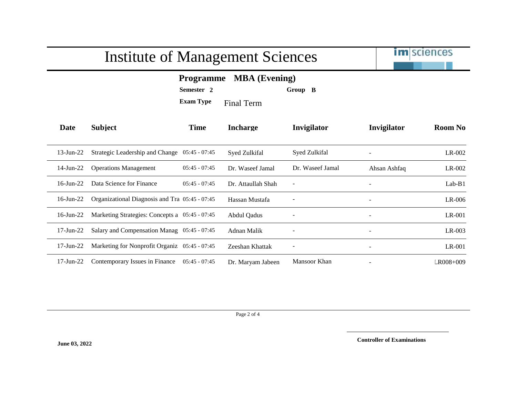

## **Programme MBA (Evening)**

**Semester 2 Group B**

**Exam Type** Final Term

| Date            | <b>Subject</b>                                 | <b>Time</b>     | <b>Incharge</b>    | Invigilator      | Invigilator              | <b>Room No</b> |
|-----------------|------------------------------------------------|-----------------|--------------------|------------------|--------------------------|----------------|
| $13$ -Jun-22    | Strategic Leadership and Change 05:45 - 07:45  |                 | Syed Zulkifal      | Syed Zulkifal    | $\overline{\phantom{0}}$ | $LR-002$       |
| 14-Jun-22       | <b>Operations Management</b>                   | $05:45 - 07:45$ | Dr. Waseef Jamal   | Dr. Waseef Jamal | Ahsan Ashfaq             | $LR-002$       |
| $16$ -Jun-22    | Data Science for Finance                       | $05:45 - 07:45$ | Dr. Attaullah Shah |                  | $\overline{\phantom{a}}$ | $Lab-B1$       |
| $16$ -Jun-22    | Organizational Diagnosis and Tra 05:45 - 07:45 |                 | Hassan Mustafa     |                  | $\sim$                   | $LR-006$       |
| 16-Jun-22       | Marketing Strategies: Concepts a 05:45 - 07:45 |                 | Abdul Oadus        |                  | $\overline{\phantom{a}}$ | $LR-001$       |
| 17-Jun-22       | Salary and Compensation Manag 05:45 - 07:45    |                 | Adnan Malik        |                  | $\overline{\phantom{a}}$ | $LR-003$       |
| 17-Jun-22       | Marketing for Nonprofit Organiz 05:45 - 07:45  |                 | Zeeshan Khattak    |                  | $\sim$                   | $LR-001$       |
| $17$ -Jun- $22$ | Contemporary Issues in Finance                 | $05:45 - 07:45$ | Dr. Maryam Jabeen  | Mansoor Khan     |                          | LR008+009      |

Page 2 of 4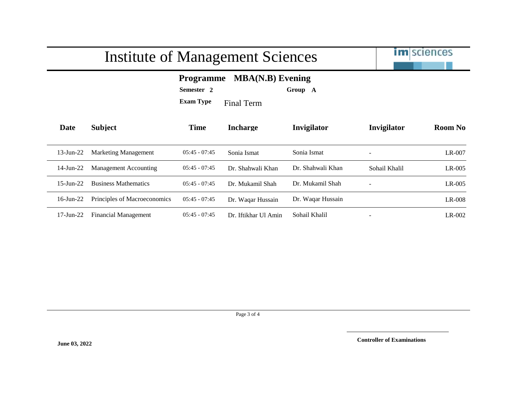

## **Programme MBA(N.B) Evening**

**Semester 2 Group A**

**Exam Type** Final Term

| Date            | <b>Subject</b>               | <b>Time</b>     | <b>Incharge</b>      | <b>Invigilator</b> | Invigilator              | Room No  |
|-----------------|------------------------------|-----------------|----------------------|--------------------|--------------------------|----------|
| $13$ -Jun-22    | Marketing Management         | $05:45 - 07:45$ | Sonia Ismat          | Sonia Ismat        | $\overline{\phantom{a}}$ | $LR-007$ |
| $14$ -Jun-22    | Management Accounting        | $05:45 - 07:45$ | Dr. Shahwali Khan    | Dr. Shahwali Khan  | Sohail Khalil            | $LR-005$ |
| $15$ -Jun-22    | <b>Business Mathematics</b>  | $05:45 - 07:45$ | Dr. Mukamil Shah     | Dr. Mukamil Shah   | $\overline{\phantom{a}}$ | $LR-005$ |
| $16$ -Jun-22    | Principles of Macroeconomics | $05:45 - 07:45$ | Dr. Waqar Hussain    | Dr. Waqar Hussain  |                          | $LR-008$ |
| $17$ -Jun- $22$ | <b>Financial Management</b>  | $05:45 - 07:45$ | Dr. Iftikhar Ul Amin | Sohail Khalil      | $\overline{\phantom{a}}$ | $LR-002$ |

Page 3 of 4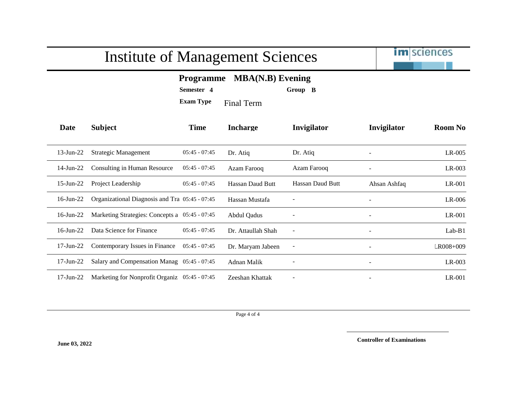

## **Programme MBA(N.B) Evening**

**Semester 4 Group B**

**Exam Type** Final Term

| Date            | <b>Subject</b>                                 | <b>Time</b>     | <b>Incharge</b>    | Invigilator              | Invigilator              | <b>Room No</b> |
|-----------------|------------------------------------------------|-----------------|--------------------|--------------------------|--------------------------|----------------|
| $13$ -Jun-22    | <b>Strategic Management</b>                    | $05:45 - 07:45$ | Dr. Atiq           | Dr. Atiq                 | $\overline{\phantom{a}}$ | $LR-005$       |
| $14$ -Jun-22    | Consulting in Human Resource                   | $05:45 - 07:45$ | Azam Farooq        | Azam Farooq              | $\overline{\phantom{a}}$ | $LR-003$       |
| $15$ -Jun-22    | Project Leadership                             | $05:45 - 07:45$ | Hassan Daud Butt   | Hassan Daud Butt         | Ahsan Ashfaq             | LR-001         |
| $16$ -Jun-22    | Organizational Diagnosis and Tra 05:45 - 07:45 |                 | Hassan Mustafa     |                          | $\overline{\phantom{a}}$ | $LR-006$       |
| $16$ -Jun-22    | Marketing Strategies: Concepts a 05:45 - 07:45 |                 | Abdul Qadus        |                          | $\qquad \qquad -$        | $LR-001$       |
| $16$ -Jun-22    | Data Science for Finance                       | $05:45 - 07:45$ | Dr. Attaullah Shah | $\overline{\phantom{a}}$ | $\overline{\phantom{a}}$ | $Lab-B1$       |
| $17$ -Jun- $22$ | Contemporary Issues in Finance                 | $05:45 - 07:45$ | Dr. Maryam Jabeen  |                          | $\qquad \qquad -$        | $LR008 + 009$  |
| $17$ -Jun- $22$ | Salary and Compensation Manag 05:45 - 07:45    |                 | Adnan Malik        |                          | -                        | $LR-003$       |
| $17$ -Jun- $22$ | Marketing for Nonprofit Organiz 05:45 - 07:45  |                 | Zeeshan Khattak    |                          | $\qquad \qquad -$        | $LR-001$       |

Page 4 of 4

**June 03, 2022**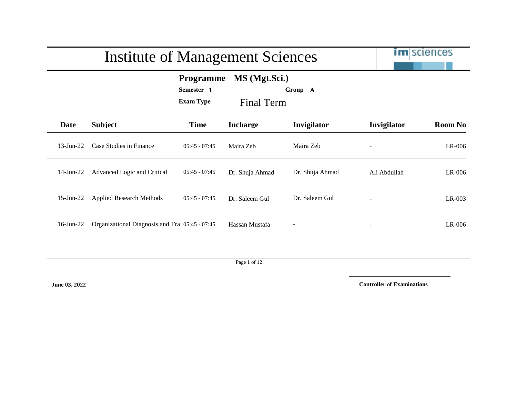|                                                                                              | <b>Institute of Management Sciences</b>        |                 | <b>im</b> sciences |                 |              |                |
|----------------------------------------------------------------------------------------------|------------------------------------------------|-----------------|--------------------|-----------------|--------------|----------------|
| MS (Mgt.Sci.)<br><b>Programme</b><br>Semester 1<br>Group A<br><b>Exam Type</b><br>Final Term |                                                |                 |                    |                 |              |                |
| <b>Date</b>                                                                                  | <b>Subject</b>                                 | <b>Time</b>     | <b>Incharge</b>    | Invigilator     | Invigilator  | <b>Room No</b> |
| $13$ -Jun-22                                                                                 | Case Studies in Finance                        | $05:45 - 07:45$ | Maira Zeb          | Maira Zeb       |              | $LR-006$       |
| 14-Jun-22                                                                                    | Advanced Logic and Critical                    | $05:45 - 07:45$ | Dr. Shuja Ahmad    | Dr. Shuja Ahmad | Ali Abdullah | LR-006         |
| $15$ -Jun-22                                                                                 | <b>Applied Research Methods</b>                | $05:45 - 07:45$ | Dr. Saleem Gul     | Dr. Saleem Gul  |              | $LR-003$       |
| $16$ -Jun-22                                                                                 | Organizational Diagnosis and Tra 05:45 - 07:45 |                 | Hassan Mustafa     |                 |              | $LR-006$       |

Page 1 of 12

**June 03, 2022**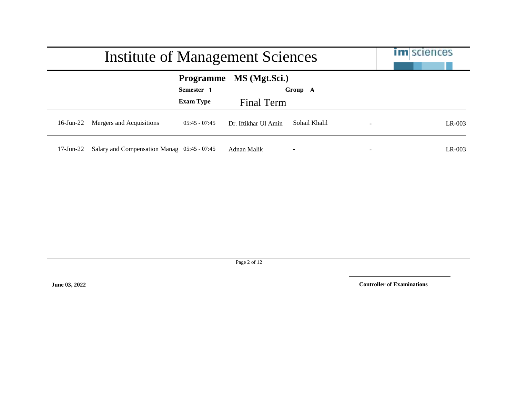|                 | Institute of Management Sciences            | <b>im</b> sciences |                         |               |          |
|-----------------|---------------------------------------------|--------------------|-------------------------|---------------|----------|
|                 |                                             | Semester 1         | Programme MS (Mgt.Sci.) | Group A       |          |
|                 |                                             | <b>Exam Type</b>   | Final Term              |               |          |
| $16$ -Jun-22    | Mergers and Acquisitions                    | $05:45 - 07:45$    | Dr. Iftikhar Ul Amin    | Sohail Khalil | $LR-003$ |
| $17$ -Jun- $22$ | Salary and Compensation Manag 05:45 - 07:45 |                    | Adnan Malik             |               | $LR-003$ |

Page 2 of 12

**June 03, 2022**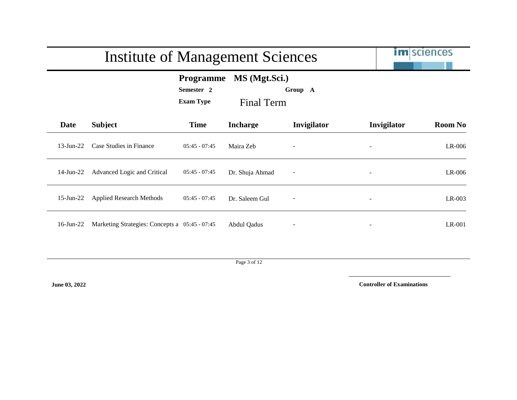|              | <b>Institute of Management Sciences</b>                                                             |                 | <b>im</b> sciences |                          |                          |                |  |
|--------------|-----------------------------------------------------------------------------------------------------|-----------------|--------------------|--------------------------|--------------------------|----------------|--|
|              | MS (Mgt.Sci.)<br><b>Programme</b><br>Semester 2<br>Group A<br><b>Exam Type</b><br><b>Final Term</b> |                 |                    |                          |                          |                |  |
| <b>Date</b>  | <b>Subject</b>                                                                                      | <b>Time</b>     | <b>Incharge</b>    | Invigilator              | Invigilator              | <b>Room No</b> |  |
| $13$ -Jun-22 | Case Studies in Finance                                                                             | $05:45 - 07:45$ | Maira Zeb          |                          |                          | LR-006         |  |
| $14$ -Jun-22 | Advanced Logic and Critical                                                                         | $05:45 - 07:45$ | Dr. Shuja Ahmad    | $\overline{\phantom{a}}$ | $\overline{\phantom{a}}$ | $LR-006$       |  |
| $15$ -Jun-22 | <b>Applied Research Methods</b>                                                                     | $05:45 - 07:45$ | Dr. Saleem Gul     |                          |                          | LR-003         |  |
| $16$ -Jun-22 | Marketing Strategies: Concepts a 05:45 - 07:45                                                      |                 | Abdul Qadus        |                          | $\overline{\phantom{a}}$ | $LR-001$       |  |

Page 3 of 12

**June 03, 2022**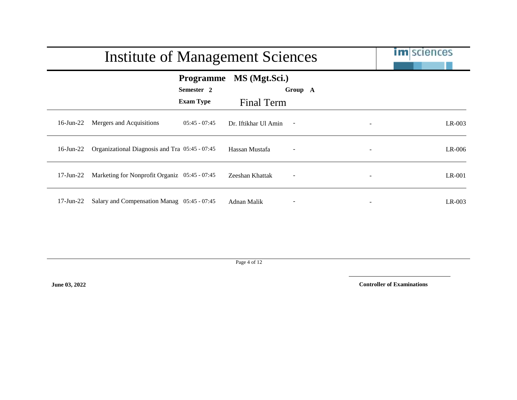|                 | Institute of Management Sciences               | <b>im</b> sciences                                 |                             |                          |          |
|-----------------|------------------------------------------------|----------------------------------------------------|-----------------------------|--------------------------|----------|
|                 |                                                | <b>Programme</b><br>Semester 2<br><b>Exam Type</b> | MS (Mgt.Sci.)<br>Final Term | Group A                  |          |
| $16$ -Jun-22    | Mergers and Acquisitions                       | $05:45 - 07:45$                                    | Dr. Iftikhar Ul Amin        | $\sim$                   | $LR-003$ |
| 16-Jun-22       | Organizational Diagnosis and Tra 05:45 - 07:45 |                                                    | Hassan Mustafa              | $\overline{\phantom{a}}$ | $LR-006$ |
| $17$ -Jun- $22$ | Marketing for Nonprofit Organiz 05:45 - 07:45  |                                                    | Zeeshan Khattak             | $\overline{\phantom{a}}$ | $LR-001$ |
| $17$ -Jun- $22$ | Salary and Compensation Manag 05:45 - 07:45    |                                                    | Adnan Malik                 | $\overline{\phantom{a}}$ | $LR-003$ |

Page 4 of 12

**June 03, 2022**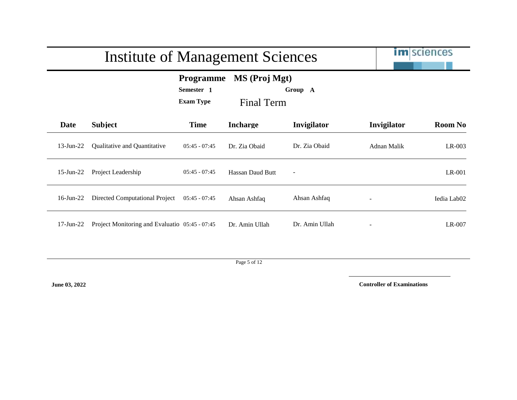|                                                                                                     | <b>Institute of Management Sciences</b>        |                 |                  |                          |             | <b>im</b> sciences      |
|-----------------------------------------------------------------------------------------------------|------------------------------------------------|-----------------|------------------|--------------------------|-------------|-------------------------|
| MS (Proj Mgt)<br><b>Programme</b><br>Semester 1<br>Group A<br><b>Exam Type</b><br><b>Final Term</b> |                                                |                 |                  |                          |             |                         |
| Date                                                                                                | <b>Subject</b>                                 | <b>Time</b>     | <b>Incharge</b>  | Invigilator              | Invigilator | <b>Room No</b>          |
| $13$ -Jun-22                                                                                        | Qualitative and Quantitative                   | $05:45 - 07:45$ | Dr. Zia Obaid    | Dr. Zia Obaid            | Adnan Malik | $LR-003$                |
| $15$ -Jun-22                                                                                        | Project Leadership                             | $05:45 - 07:45$ | Hassan Daud Butt | $\overline{\phantom{a}}$ |             | $LR-001$                |
| $16$ -Jun-22                                                                                        | Directed Computational Project                 | $05:45 - 07:45$ | Ahsan Ashfaq     | Ahsan Ashfaq             |             | Iedia Lab <sub>02</sub> |
| $17$ -Jun- $22$                                                                                     | Project Monitoring and Evaluatio 05:45 - 07:45 |                 | Dr. Amin Ullah   | Dr. Amin Ullah           |             | LR-007                  |

Page 5 of 12

**June 03, 2022**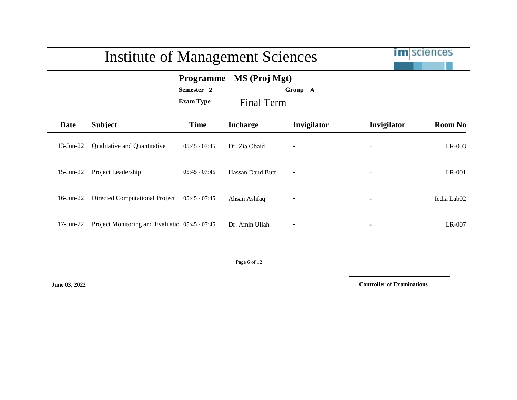|                                                                                              | <b>Institute of Management Sciences</b>        |                 | <b>im</b> sciences |                          |                          |                         |
|----------------------------------------------------------------------------------------------|------------------------------------------------|-----------------|--------------------|--------------------------|--------------------------|-------------------------|
| MS (Proj Mgt)<br><b>Programme</b><br>Semester 2<br>Group A<br><b>Exam Type</b><br>Final Term |                                                |                 |                    |                          |                          |                         |
| Date                                                                                         | <b>Subject</b>                                 | <b>Time</b>     | <b>Incharge</b>    | Invigilator              | Invigilator              | <b>Room No</b>          |
| $13$ -Jun-22                                                                                 | Qualitative and Quantitative                   | $05:45 - 07:45$ | Dr. Zia Obaid      |                          |                          | $LR-003$                |
| $15$ -Jun-22                                                                                 | Project Leadership                             | $05:45 - 07:45$ | Hassan Daud Butt   | $\overline{\phantom{a}}$ | $\overline{\phantom{a}}$ | LR-001                  |
| $16$ -Jun-22                                                                                 | Directed Computational Project                 | $05:45 - 07:45$ | Ahsan Ashfaq       |                          |                          | Iedia Lab <sub>02</sub> |
| $17$ -Jun- $22$                                                                              | Project Monitoring and Evaluatio 05:45 - 07:45 |                 | Dr. Amin Ullah     |                          | $\overline{\phantom{a}}$ | LR-007                  |

Page 6 of 12

**June 03, 2022**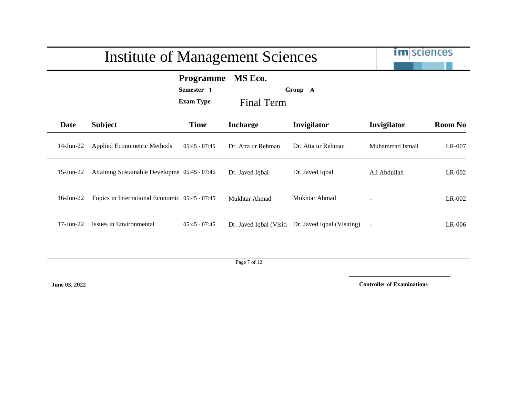|                 | <b>Institute of Management Sciences</b>        | <b>im</b> sciences                                 |                         |                            |                 |                |
|-----------------|------------------------------------------------|----------------------------------------------------|-------------------------|----------------------------|-----------------|----------------|
|                 |                                                | <b>Programme</b><br>Semester 1<br><b>Exam Type</b> | MS Eco.<br>Final Term   | Group A                    |                 |                |
| Date            | <b>Subject</b>                                 | <b>Time</b>                                        | <b>Incharge</b>         | Invigilator                | Invigilator     | <b>Room No</b> |
| $14$ -Jun-22    | Applied Econometric Methods                    | $05:45 - 07:45$                                    | Dr. Atta ur Rehman      | Dr. Atta ur Rehman         | Muhammad Ismail | LR-007         |
| $15$ -Jun- $22$ | Attaining Sustainable Developme 05:45 - 07:45  |                                                    | Dr. Javed Iqbal         | Dr. Javed Iqbal            | Ali Abdullah    | $LR-002$       |
| $16$ -Jun-22    | Topics in International Economic 05:45 - 07:45 |                                                    | Mukhtar Ahmad           | Mukhtar Ahmad              |                 | $LR-002$       |
| $17$ -Jun- $22$ | Issues in Environmental                        | $05:45 - 07:45$                                    | Dr. Javed Iqbal (Visiti | Dr. Javed Iqbal (Visiting) |                 | $LR-006$       |

Page 7 of 12

**June 03, 2022**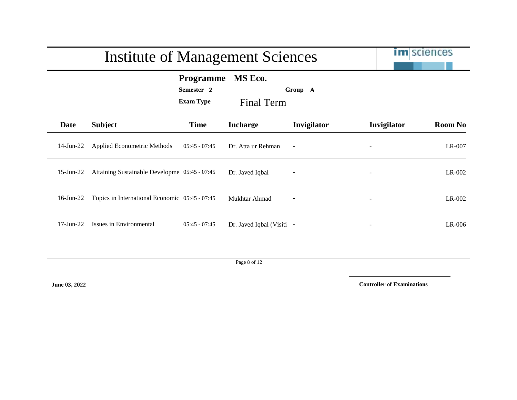|              | <b>Institute of Management Sciences</b>        |                                                    | <b>im</b> sciences        |                          |                          |                |
|--------------|------------------------------------------------|----------------------------------------------------|---------------------------|--------------------------|--------------------------|----------------|
|              |                                                | <b>Programme</b><br>Semester 2<br><b>Exam Type</b> | MS Eco.<br>Final Term     | Group A                  |                          |                |
| Date         | <b>Subject</b>                                 | <b>Time</b>                                        | <b>Incharge</b>           | Invigilator              | Invigilator              | <b>Room No</b> |
| $14$ -Jun-22 | <b>Applied Econometric Methods</b>             | $05:45 - 07:45$                                    | Dr. Atta ur Rehman        | $\overline{\phantom{a}}$ |                          | LR-007         |
| $15$ -Jun-22 | Attaining Sustainable Developme 05:45 - 07:45  |                                                    | Dr. Javed Iqbal           |                          |                          | $LR-002$       |
| $16$ -Jun-22 | Topics in International Economic 05:45 - 07:45 |                                                    | Mukhtar Ahmad             |                          | $\overline{\phantom{a}}$ | $LR-002$       |
| $17-Jun-22$  | Issues in Environmental                        | $05:45 - 07:45$                                    | Dr. Javed Iqbal (Visiti - |                          |                          | $LR-006$       |

Page 8 of 12

**June 03, 2022**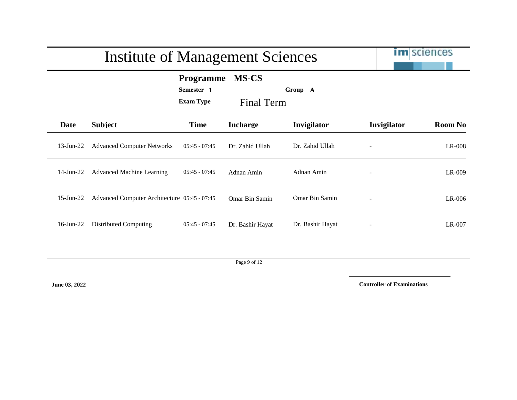| <b>Institute of Management Sciences</b> |                                              |                                                    |                                   |                  |                | <b>im</b> sciences |
|-----------------------------------------|----------------------------------------------|----------------------------------------------------|-----------------------------------|------------------|----------------|--------------------|
|                                         |                                              | <b>Programme</b><br>Semester 1<br><b>Exam Type</b> | <b>MS-CS</b><br><b>Final Term</b> | Group A          |                |                    |
| Date                                    | <b>Subject</b>                               | <b>Time</b>                                        | <b>Incharge</b>                   | Invigilator      | Invigilator    | <b>Room No</b>     |
| $13$ -Jun-22                            | <b>Advanced Computer Networks</b>            | $05:45 - 07:45$                                    | Dr. Zahid Ullah                   | Dr. Zahid Ullah  |                | LR-008             |
| $14$ -Jun-22                            | <b>Advanced Machine Learning</b>             | $05:45 - 07:45$                                    | Adnan Amin                        | Adnan Amin       |                | LR-009             |
| 15-Jun-22                               | Advanced Computer Architecture 05:45 - 07:45 |                                                    | <b>Omar Bin Samin</b>             | Omar Bin Samin   | $\overline{a}$ | $LR-006$           |
| $16$ -Jun- $22$                         | Distributed Computing                        | $05:45 - 07:45$                                    | Dr. Bashir Hayat                  | Dr. Bashir Hayat |                | LR-007             |

Page 9 of 12

**June 03, 2022**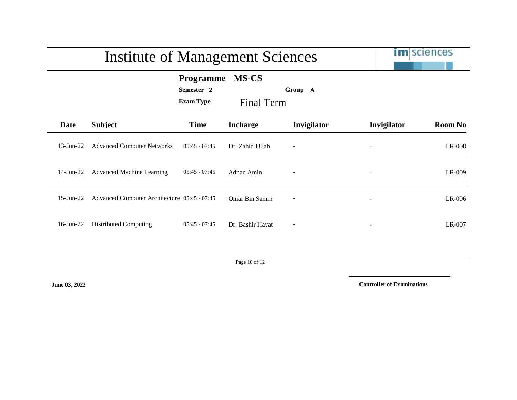| <b>Institute of Management Sciences</b> |                                              |                                                    |                                   |                          | <b>im</b> sciences       |                |
|-----------------------------------------|----------------------------------------------|----------------------------------------------------|-----------------------------------|--------------------------|--------------------------|----------------|
|                                         |                                              | <b>Programme</b><br>Semester 2<br><b>Exam Type</b> | <b>MS-CS</b><br><b>Final Term</b> | Group A                  |                          |                |
| Date                                    | <b>Subject</b>                               | <b>Time</b>                                        | <b>Incharge</b>                   | Invigilator              | Invigilator              | <b>Room No</b> |
| $13$ -Jun-22                            | <b>Advanced Computer Networks</b>            | $05:45 - 07:45$                                    | Dr. Zahid Ullah                   |                          |                          | LR-008         |
| 14-Jun-22                               | <b>Advanced Machine Learning</b>             | $05:45 - 07:45$                                    | Adnan Amin                        |                          | $\overline{\phantom{a}}$ | LR-009         |
| $15$ -Jun- $22$                         | Advanced Computer Architecture 05:45 - 07:45 |                                                    | Omar Bin Samin                    | $\overline{\phantom{0}}$ |                          | LR-006         |
| $16$ -Jun-22                            | <b>Distributed Computing</b>                 | $05:45 - 07:45$                                    | Dr. Bashir Hayat                  |                          |                          | $LR-007$       |

Page 10 of 12

**June 03, 2022**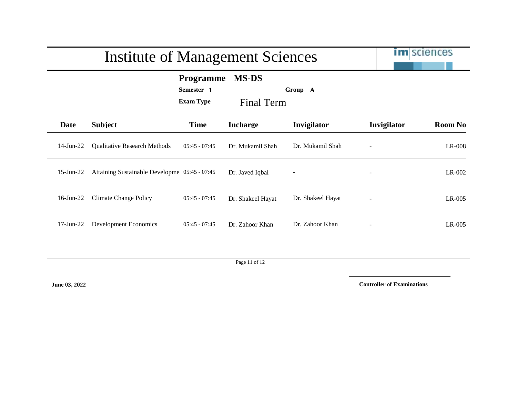|                 | <b>Institute of Management Sciences</b>       |                                                    | <b>im</b> sciences                |                   |                |                |
|-----------------|-----------------------------------------------|----------------------------------------------------|-----------------------------------|-------------------|----------------|----------------|
|                 |                                               | <b>Programme</b><br>Semester 1<br><b>Exam Type</b> | <b>MS-DS</b><br><b>Final Term</b> | Group A           |                |                |
| Date            | <b>Subject</b>                                | <b>Time</b>                                        | <b>Incharge</b>                   | Invigilator       | Invigilator    | <b>Room No</b> |
| $14$ -Jun-22    | <b>Qualitative Research Methods</b>           | $05:45 - 07:45$                                    | Dr. Mukamil Shah                  | Dr. Mukamil Shah  |                | LR-008         |
| $15$ -Jun- $22$ | Attaining Sustainable Developme 05:45 - 07:45 |                                                    | Dr. Javed Iqbal                   | $\overline{a}$    | $\overline{a}$ | $LR-002$       |
| $16$ -Jun- $22$ | Climate Change Policy                         | $05:45 - 07:45$                                    | Dr. Shakeel Hayat                 | Dr. Shakeel Hayat |                | $LR-005$       |
| 17-Jun-22       | Development Economics                         | $05:45 - 07:45$                                    | Dr. Zahoor Khan                   | Dr. Zahoor Khan   |                | $LR-005$       |

Page 11 of 12

**June 03, 2022**